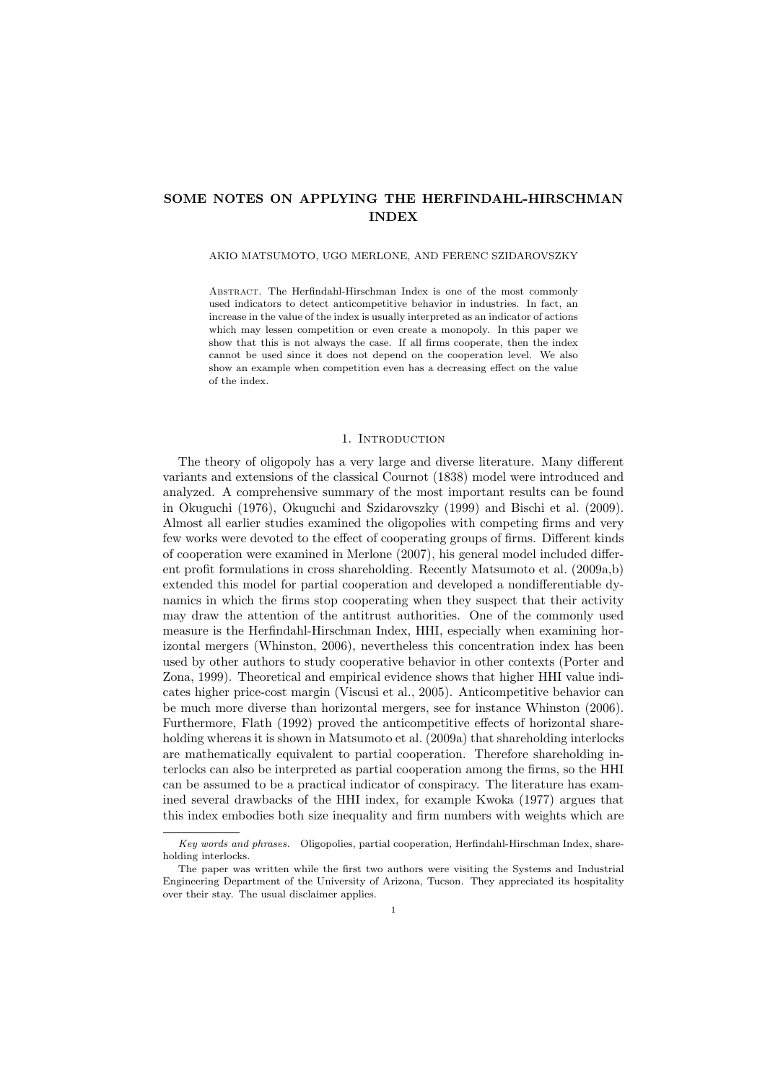# SOME NOTES ON APPLYING THE HERFINDAHL-HIRSCHMAN INDEX

### AKIO MATSUMOTO, UGO MERLONE, AND FERENC SZIDAROVSZKY

Abstract. The Herfindahl-Hirschman Index is one of the most commonly used indicators to detect anticompetitive behavior in industries. In fact, an increase in the value of the index is usually interpreted as an indicator of actions which may lessen competition or even create a monopoly. In this paper we show that this is not always the case. If all firms cooperate, then the index cannot be used since it does not depend on the cooperation level. We also show an example when competition even has a decreasing effect on the value of the index.

### 1. INTRODUCTION

The theory of oligopoly has a very large and diverse literature. Many different variants and extensions of the classical Cournot (1838) model were introduced and analyzed. A comprehensive summary of the most important results can be found in Okuguchi (1976), Okuguchi and Szidarovszky (1999) and Bischi et al. (2009). Almost all earlier studies examined the oligopolies with competing firms and very few works were devoted to the effect of cooperating groups of firms. Different kinds of cooperation were examined in Merlone (2007), his general model included different profit formulations in cross shareholding. Recently Matsumoto et al. (2009a,b) extended this model for partial cooperation and developed a nondifferentiable dynamics in which the firms stop cooperating when they suspect that their activity may draw the attention of the antitrust authorities. One of the commonly used measure is the Herfindahl-Hirschman Index, HHI, especially when examining horizontal mergers (Whinston, 2006), nevertheless this concentration index has been used by other authors to study cooperative behavior in other contexts (Porter and Zona, 1999). Theoretical and empirical evidence shows that higher HHI value indicates higher price-cost margin (Viscusi et al., 2005). Anticompetitive behavior can be much more diverse than horizontal mergers, see for instance Whinston (2006). Furthermore, Flath (1992) proved the anticompetitive effects of horizontal shareholding whereas it is shown in Matsumoto et al. (2009a) that shareholding interlocks are mathematically equivalent to partial cooperation. Therefore shareholding interlocks can also be interpreted as partial cooperation among the firms, so the HHI can be assumed to be a practical indicator of conspiracy. The literature has examined several drawbacks of the HHI index, for example Kwoka (1977) argues that this index embodies both size inequality and firm numbers with weights which are

Key words and phrases. Oligopolies, partial cooperation, Herfindahl-Hirschman Index, shareholding interlocks.

The paper was written while the first two authors were visiting the Systems and Industrial Engineering Department of the University of Arizona, Tucson. They appreciated its hospitality over their stay. The usual disclaimer applies.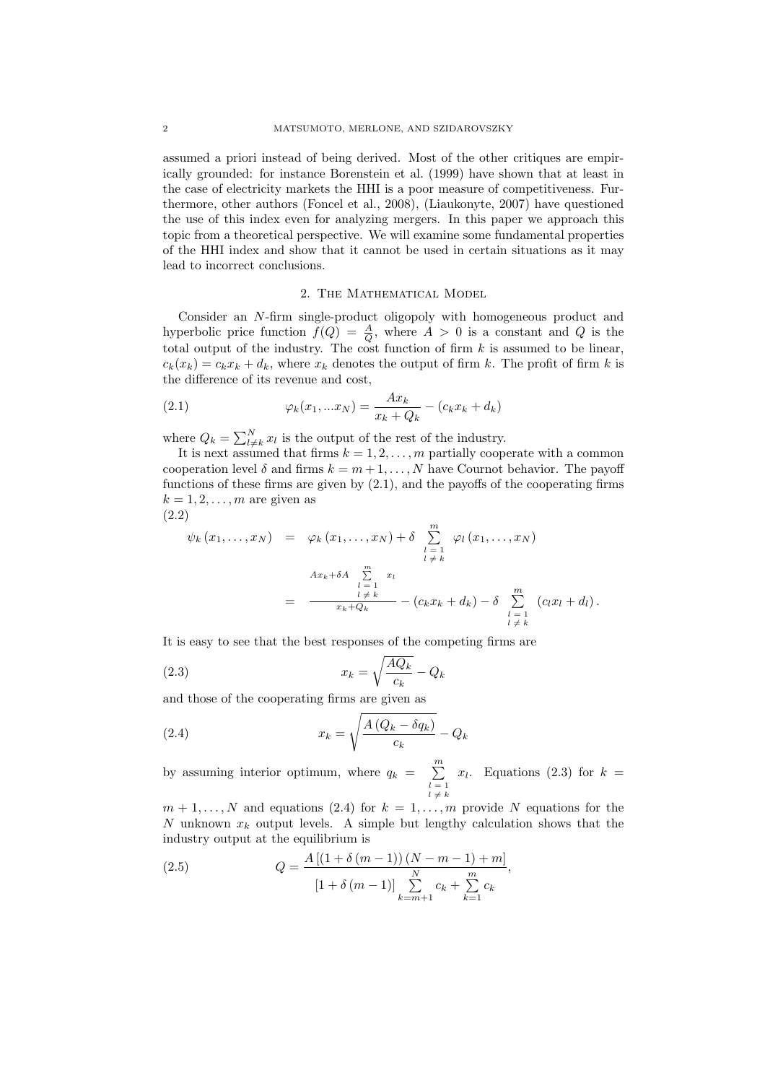assumed a priori instead of being derived. Most of the other critiques are empirically grounded: for instance Borenstein et al. (1999) have shown that at least in the case of electricity markets the HHI is a poor measure of competitiveness. Furthermore, other authors (Foncel et al., 2008), (Liaukonyte, 2007) have questioned the use of this index even for analyzing mergers. In this paper we approach this topic from a theoretical perspective. We will examine some fundamental properties of the HHI index and show that it cannot be used in certain situations as it may lead to incorrect conclusions.

# 2. The Mathematical Model

Consider an N-firm single-product oligopoly with homogeneous product and hyperbolic price function  $f(Q) = \frac{A}{Q}$ , where  $A > 0$  is a constant and Q is the total output of the industry. The cost function of firm  $k$  is assumed to be linear,  $c_k(x_k) = c_k x_k + d_k$ , where  $x_k$  denotes the output of firm k. The profit of firm k is the difference of its revenue and cost,

(2.1) 
$$
\varphi_k(x_1,...x_N) = \frac{Ax_k}{x_k + Q_k} - (c_k x_k + d_k)
$$

where  $Q_k = \sum_{l=1}^N$  $\prod_{l\neq k}^{N} x_l$  is the output of the rest of the industry.

It is next assumed that firms  $k = 1, 2, \ldots, m$  partially cooperate with a common cooperation level  $\delta$  and firms  $k = m + 1, \ldots, N$  have Cournot behavior. The payoff functions of these firms are given by (2.1), and the payoffs of the cooperating firms  $k = 1, 2, \ldots, m$  are given as (2.2)

$$
\psi_k(x_1,\ldots,x_N) = \varphi_k(x_1,\ldots,x_N) + \delta \sum_{\substack{l=1 \ l \neq k}}^m \varphi_l(x_1,\ldots,x_N)
$$

$$
= \frac{Ax_k + \delta A \sum_{\substack{l=1 \ l \neq k}}^m x_l}{x_k + Q_k} - (c_k x_k + d_k) - \delta \sum_{\substack{l=1 \ l \neq k}}^m (c_l x_l + d_l).
$$

It is easy to see that the best responses of the competing firms are

(2.3) 
$$
x_k = \sqrt{\frac{AQ_k}{c_k}} - Q_k
$$

and those of the cooperating firms are given as s

(2.4) 
$$
x_k = \sqrt{\frac{A\left(Q_k - \delta q_k\right)}{c_k}} - Q_k
$$

by assuming interior optimum, where  $q_k = \sum_{i=1}^{m}$  $l = 1$ <br> $l \neq k$  $x_l$ . Equations (2.3) for  $k =$ 

 $m+1,\ldots,N$  and equations (2.4) for  $k=1,\ldots,m$  provide N equations for the N unknown  $x_k$  output levels. A simple but lengthy calculation shows that the industry output at the equilibrium is

(2.5) 
$$
Q = \frac{A[(1 + \delta(m - 1)) (N - m - 1) + m]}{[1 + \delta(m - 1)] \sum_{k=m+1}^{N} c_k + \sum_{k=1}^{m} c_k},
$$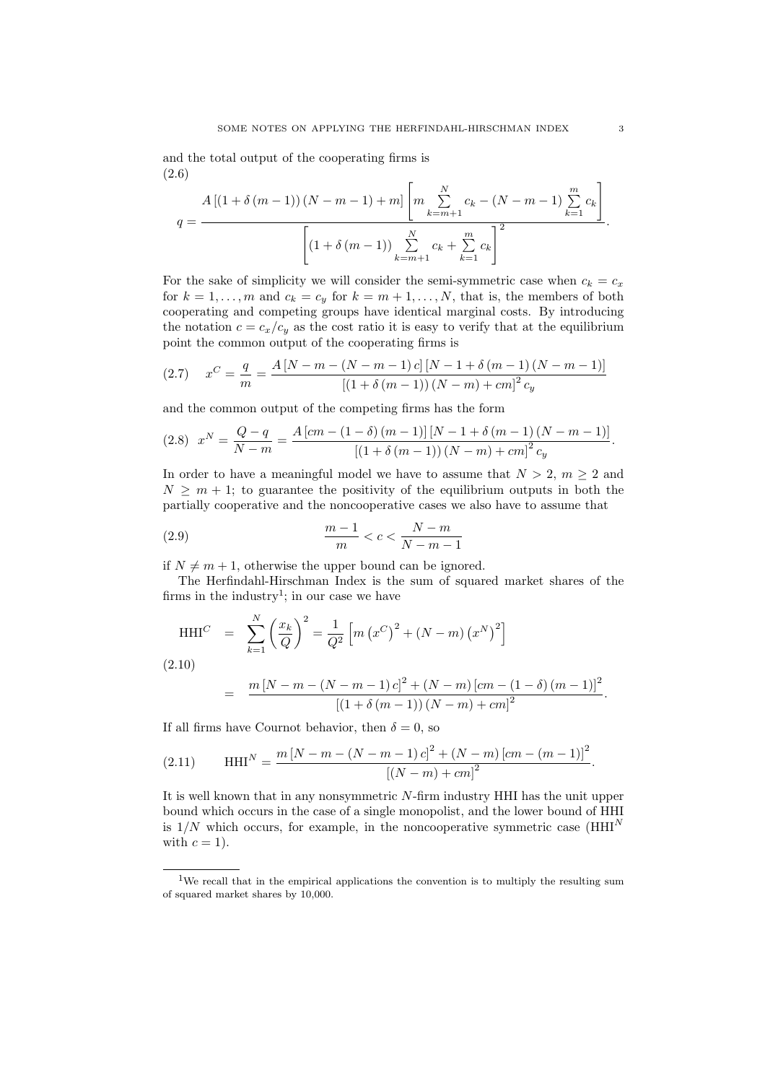and the total output of the cooperating firms is (2.6) "

$$
A\left[\left(1+\delta\left(m-1\right)\right)\left(N-m-1\right)+m\right]\left[m\sum_{k=m+1}^{N}c_{k}-\left(N-m-1\right)\sum_{k=1}^{m}c_{k}\right]}{\left[\left(1+\delta\left(m-1\right)\right)\sum_{k=m+1}^{N}c_{k}+\sum_{k=1}^{m}c_{k}\right]^{2}}.
$$

For the sake of simplicity we will consider the semi-symmetric case when  $c_k = c_x$ for  $k = 1, ..., m$  and  $c_k = c_y$  for  $k = m + 1, ..., N$ , that is, the members of both cooperating and competing groups have identical marginal costs. By introducing the notation  $c = c_x/c_y$  as the cost ratio it is easy to verify that at the equilibrium point the common output of the cooperating firms is

(2.7) 
$$
x^{C} = \frac{q}{m} = \frac{A[N-m-(N-m-1)c][N-1+\delta(m-1)(N-m-1)]}{[(1+\delta(m-1))(N-m)+cm]^2 c_y}
$$

and the common output of the competing firms has the form

$$
(2.8) \t xN = \frac{Q - q}{N - m} = \frac{A [cm - (1 - \delta) (m - 1)] [N - 1 + \delta (m - 1) (N - m - 1)]}{[(1 + \delta (m - 1)) (N - m) + cm]^2 c_y}.
$$

In order to have a meaningful model we have to assume that  $N > 2$ ,  $m \geq 2$  and  $N \geq m + 1$ ; to guarantee the positivity of the equilibrium outputs in both the partially cooperative and the noncooperative cases we also have to assume that

$$
\frac{m-1}{m} < c < \frac{N-m}{N-m-1}
$$

if  $N \neq m + 1$ , otherwise the upper bound can be ignored.

The Herfindahl-Hirschman Index is the sum of squared market shares of the firms in the industry<sup>1</sup>; in our case we have

$$
\text{HHI}^C \quad = \quad \sum_{k=1}^N \left(\frac{x_k}{Q}\right)^2 = \frac{1}{Q^2} \left[ m \left(x^C\right)^2 + (N - m) \left(x^N\right)^2 \right]
$$
\n(2.10)

$$
(2.10)
$$

$$
= \frac{m [N-m-(N-m-1) c]^2 + (N-m) [cm-(1-\delta) (m-1)]^2}{[(1+\delta (m-1)) (N-m)+cm]^2}.
$$

If all firms have Cournot behavior, then  $\delta = 0$ , so

(2.11) 
$$
\text{HHI}^N = \frac{m \left[ N - m - (N - m - 1) c \right]^2 + (N - m) \left[ cm - (m - 1) \right]^2}{\left[ (N - m) + cm \right]^2}.
$$

It is well known that in any nonsymmetric N-firm industry HHI has the unit upper bound which occurs in the case of a single monopolist, and the lower bound of HHI is  $1/N$  which occurs, for example, in the noncooperative symmetric case ( $HHI<sup>N</sup>$ with  $c = 1$ .

<sup>&</sup>lt;sup>1</sup>We recall that in the empirical applications the convention is to multiply the resulting sum of squared market shares by 10,000.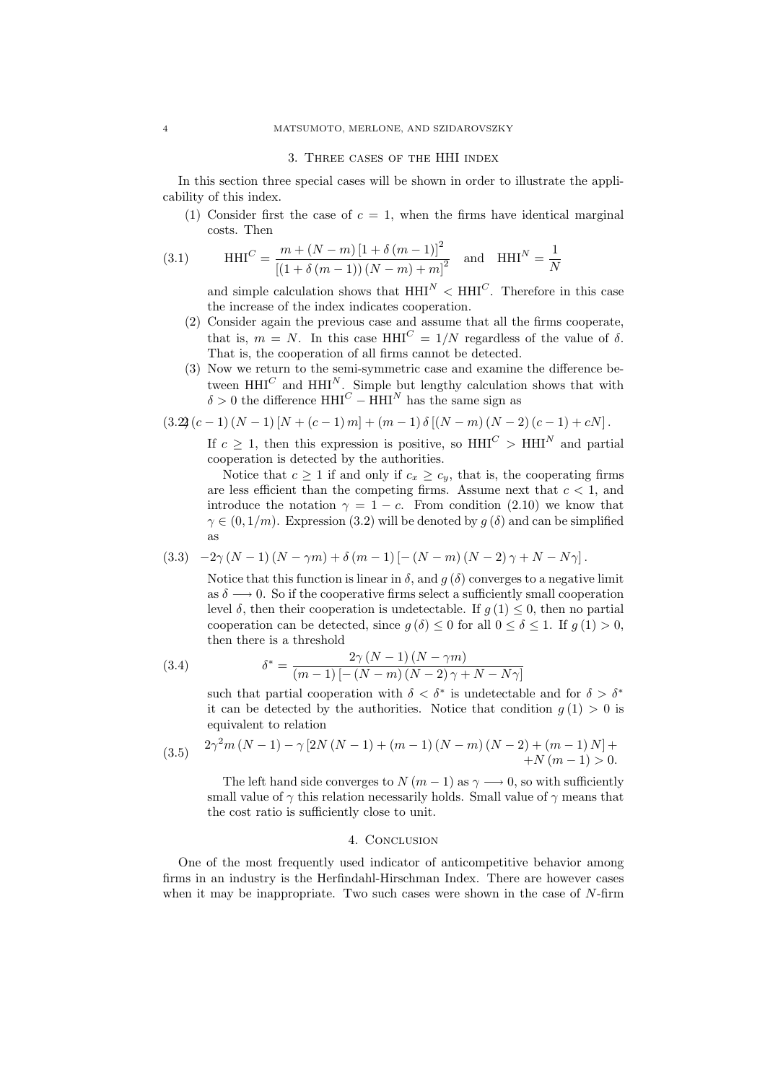#### 3. Three cases of the HHI index

In this section three special cases will be shown in order to illustrate the applicability of this index.

(1) Consider first the case of  $c = 1$ , when the firms have identical marginal costs. Then

(3.1) 
$$
\text{HHI}^C = \frac{m + (N - m) [1 + \delta (m - 1)]^2}{[(1 + \delta (m - 1)) (N - m) + m]^2} \text{ and } \text{HHI}^N = \frac{1}{N}
$$

and simple calculation shows that  $HHI^N < HHI^C$ . Therefore in this case the increase of the index indicates cooperation.

- (2) Consider again the previous case and assume that all the firms cooperate, that is,  $m = N$ . In this case HHI<sup>C</sup> = 1/N regardless of the value of  $\delta$ . That is, the cooperation of all firms cannot be detected.
- (3) Now we return to the semi-symmetric case and examine the difference between  $HHI^C$  and  $HHI^N$ . Simple but lengthy calculation shows that with  $\delta > 0$  the difference HHI<sup>C</sup> – HHI<sup>N</sup> has the same sign as

$$
(3.2)(c-1) (N-1) [N + (c-1) m] + (m-1) \delta [(N-m) (N-2) (c-1) + cN].
$$

If  $c \geq 1$ , then this expression is positive, so  $HHI^C > HHI^N$  and partial cooperation is detected by the authorities.

Notice that  $c \geq 1$  if and only if  $c_x \geq c_y$ , that is, the cooperating firms are less efficient than the competing firms. Assume next that  $c < 1$ , and introduce the notation  $\gamma = 1 - c$ . From condition (2.10) we know that  $\gamma \in (0, 1/m)$ . Expression (3.2) will be denoted by  $q(\delta)$  and can be simplified as

$$
(3.3) \quad -2\gamma\left(N-1\right)\left(N-\gamma m\right)+\delta\left(m-1\right)\left[-\left(N-m\right)\left(N-2\right)\gamma+N-N\gamma\right].
$$

Notice that this function is linear in  $\delta$ , and  $q(\delta)$  converges to a negative limit as  $\delta \longrightarrow 0$ . So if the cooperative firms select a sufficiently small cooperation level δ, then their cooperation is undetectable. If  $q(1) \leq 0$ , then no partial cooperation can be detected, since  $g(\delta) \leq 0$  for all  $0 \leq \delta \leq 1$ . If  $g(1) > 0$ , then there is a threshold

(3.4) 
$$
\delta^* = \frac{2\gamma (N-1) (N - \gamma m)}{(m-1) [-(N-m) (N-2) \gamma + N - N\gamma]}
$$

such that partial cooperation with  $\delta < \delta^*$  is undetectable and for  $\delta > \delta^*$ it can be detected by the authorities. Notice that condition  $g(1) > 0$  is equivalent to relation

(3.5) 
$$
2\gamma^2 m (N-1) - \gamma [2N (N-1) + (m-1) (N-m) (N-2) + (m-1) N] + N (m-1) > 0.
$$

The left hand side converges to  $N (m - 1)$  as  $\gamma \longrightarrow 0$ , so with sufficiently small value of  $\gamma$  this relation necessarily holds. Small value of  $\gamma$  means that the cost ratio is sufficiently close to unit.

# 4. CONCLUSION

One of the most frequently used indicator of anticompetitive behavior among firms in an industry is the Herfindahl-Hirschman Index. There are however cases when it may be inappropriate. Two such cases were shown in the case of  $N$ -firm